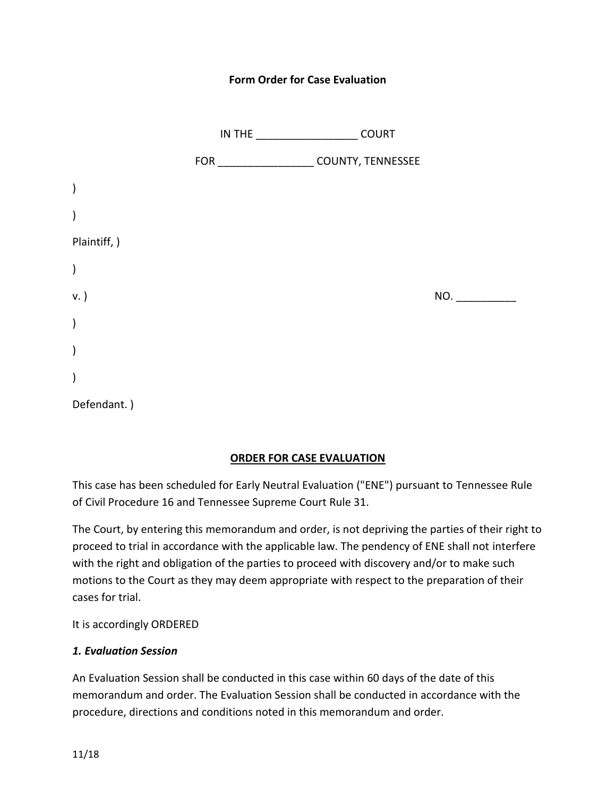#### **Form Order for Case Evaluation**

|               |                                                 | <b>COURT</b> |     |
|---------------|-------------------------------------------------|--------------|-----|
|               | FOR _________________________ COUNTY, TENNESSEE |              |     |
| $\mathcal{C}$ |                                                 |              |     |
| $\mathcal{E}$ |                                                 |              |     |
| Plaintiff, )  |                                                 |              |     |
| $\lambda$     |                                                 |              |     |
| v. )          |                                                 |              | NO. |
| $\lambda$     |                                                 |              |     |
| $\mathcal{E}$ |                                                 |              |     |
| $\big)$       |                                                 |              |     |
| Defendant.)   |                                                 |              |     |

#### **ORDER FOR CASE EVALUATION**

This case has been scheduled for Early Neutral Evaluation ("ENE") pursuant to Tennessee Rule of Civil Procedure 16 and Tennessee Supreme Court Rule 31.

The Court, by entering this memorandum and order, is not depriving the parties of their right to proceed to trial in accordance with the applicable law. The pendency of ENE shall not interfere with the right and obligation of the parties to proceed with discovery and/or to make such motions to the Court as they may deem appropriate with respect to the preparation of their cases for trial.

It is accordingly ORDERED

#### *1. Evaluation Session*

An Evaluation Session shall be conducted in this case within 60 days of the date of this memorandum and order. The Evaluation Session shall be conducted in accordance with the procedure, directions and conditions noted in this memorandum and order.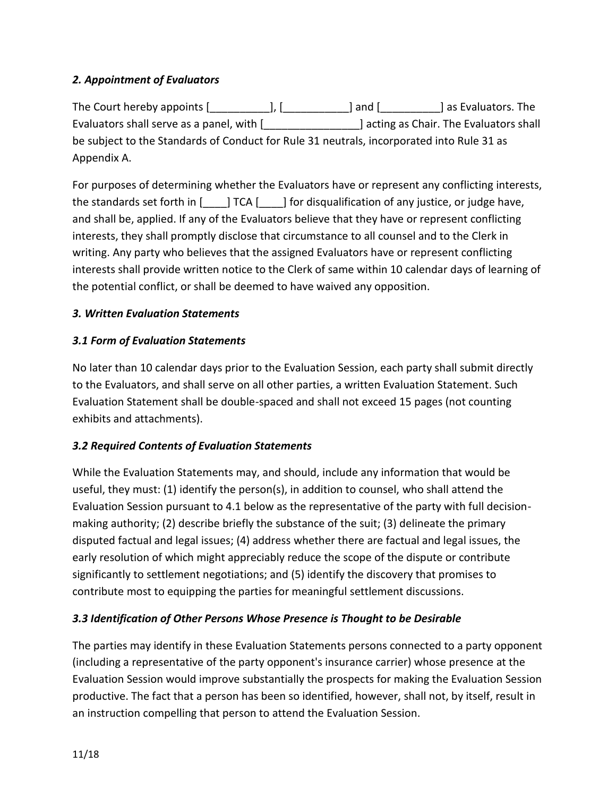# *2. Appointment of Evaluators*

The Court hereby appoints [\_\_\_\_\_\_\_\_\_\_\_], [\_\_\_\_\_\_\_\_\_\_\_] and [\_\_\_\_\_\_\_\_\_\_] as Evaluators. The Evaluators shall serve as a panel, with [\_\_\_\_\_\_\_\_\_\_\_\_\_\_\_\_] acting as Chair. The Evaluators shall be subject to the Standards of Conduct for Rule 31 neutrals, incorporated into Rule 31 as Appendix A.

For purposes of determining whether the Evaluators have or represent any conflicting interests, the standards set forth in [\_\_\_\_] TCA [\_\_\_\_] for disqualification of any justice, or judge have, and shall be, applied. If any of the Evaluators believe that they have or represent conflicting interests, they shall promptly disclose that circumstance to all counsel and to the Clerk in writing. Any party who believes that the assigned Evaluators have or represent conflicting interests shall provide written notice to the Clerk of same within 10 calendar days of learning of the potential conflict, or shall be deemed to have waived any opposition.

### *3. Written Evaluation Statements*

### *3.1 Form of Evaluation Statements*

No later than 10 calendar days prior to the Evaluation Session, each party shall submit directly to the Evaluators, and shall serve on all other parties, a written Evaluation Statement. Such Evaluation Statement shall be double-spaced and shall not exceed 15 pages (not counting exhibits and attachments).

### *3.2 Required Contents of Evaluation Statements*

While the Evaluation Statements may, and should, include any information that would be useful, they must: (1) identify the person(s), in addition to counsel, who shall attend the Evaluation Session pursuant to 4.1 below as the representative of the party with full decisionmaking authority; (2) describe briefly the substance of the suit; (3) delineate the primary disputed factual and legal issues; (4) address whether there are factual and legal issues, the early resolution of which might appreciably reduce the scope of the dispute or contribute significantly to settlement negotiations; and (5) identify the discovery that promises to contribute most to equipping the parties for meaningful settlement discussions.

### *3.3 Identification of Other Persons Whose Presence is Thought to be Desirable*

The parties may identify in these Evaluation Statements persons connected to a party opponent (including a representative of the party opponent's insurance carrier) whose presence at the Evaluation Session would improve substantially the prospects for making the Evaluation Session productive. The fact that a person has been so identified, however, shall not, by itself, result in an instruction compelling that person to attend the Evaluation Session.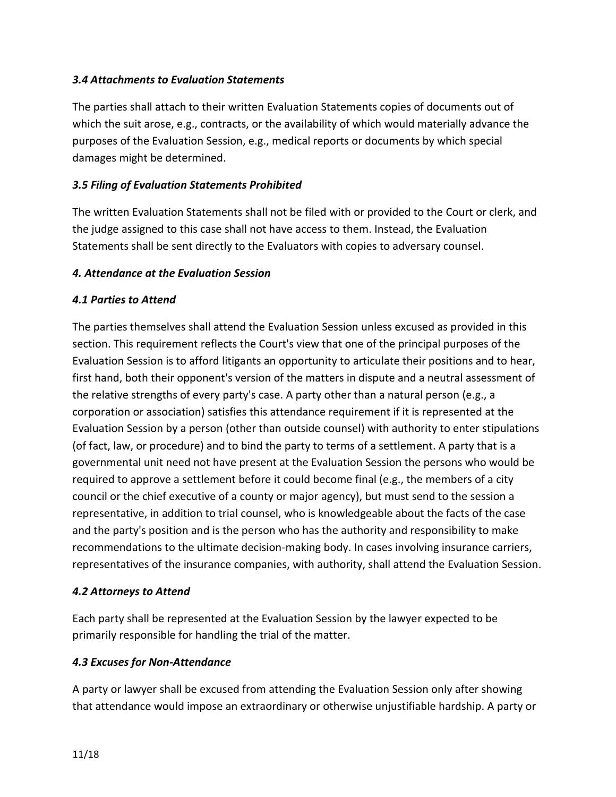### *3.4 Attachments to Evaluation Statements*

The parties shall attach to their written Evaluation Statements copies of documents out of which the suit arose, e.g., contracts, or the availability of which would materially advance the purposes of the Evaluation Session, e.g., medical reports or documents by which special damages might be determined.

## *3.5 Filing of Evaluation Statements Prohibited*

The written Evaluation Statements shall not be filed with or provided to the Court or clerk, and the judge assigned to this case shall not have access to them. Instead, the Evaluation Statements shall be sent directly to the Evaluators with copies to adversary counsel.

### *4. Attendance at the Evaluation Session*

## *4.1 Parties to Attend*

The parties themselves shall attend the Evaluation Session unless excused as provided in this section. This requirement reflects the Court's view that one of the principal purposes of the Evaluation Session is to afford litigants an opportunity to articulate their positions and to hear, first hand, both their opponent's version of the matters in dispute and a neutral assessment of the relative strengths of every party's case. A party other than a natural person (e.g., a corporation or association) satisfies this attendance requirement if it is represented at the Evaluation Session by a person (other than outside counsel) with authority to enter stipulations (of fact, law, or procedure) and to bind the party to terms of a settlement. A party that is a governmental unit need not have present at the Evaluation Session the persons who would be required to approve a settlement before it could become final (e.g., the members of a city council or the chief executive of a county or major agency), but must send to the session a representative, in addition to trial counsel, who is knowledgeable about the facts of the case and the party's position and is the person who has the authority and responsibility to make recommendations to the ultimate decision-making body. In cases involving insurance carriers, representatives of the insurance companies, with authority, shall attend the Evaluation Session.

### *4.2 Attorneys to Attend*

Each party shall be represented at the Evaluation Session by the lawyer expected to be primarily responsible for handling the trial of the matter.

### *4.3 Excuses for Non-Attendance*

A party or lawyer shall be excused from attending the Evaluation Session only after showing that attendance would impose an extraordinary or otherwise unjustifiable hardship. A party or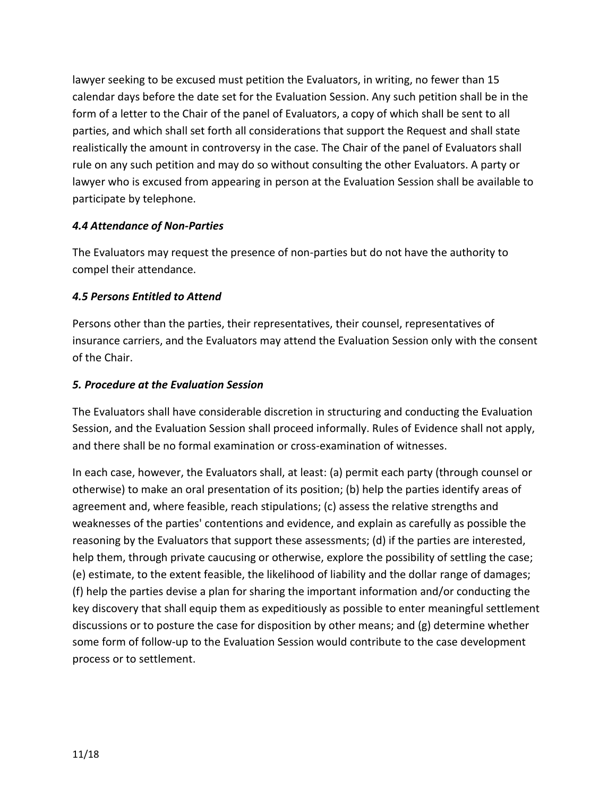lawyer seeking to be excused must petition the Evaluators, in writing, no fewer than 15 calendar days before the date set for the Evaluation Session. Any such petition shall be in the form of a letter to the Chair of the panel of Evaluators, a copy of which shall be sent to all parties, and which shall set forth all considerations that support the Request and shall state realistically the amount in controversy in the case. The Chair of the panel of Evaluators shall rule on any such petition and may do so without consulting the other Evaluators. A party or lawyer who is excused from appearing in person at the Evaluation Session shall be available to participate by telephone.

### *4.4 Attendance of Non-Parties*

The Evaluators may request the presence of non-parties but do not have the authority to compel their attendance.

# *4.5 Persons Entitled to Attend*

Persons other than the parties, their representatives, their counsel, representatives of insurance carriers, and the Evaluators may attend the Evaluation Session only with the consent of the Chair.

## *5. Procedure at the Evaluation Session*

The Evaluators shall have considerable discretion in structuring and conducting the Evaluation Session, and the Evaluation Session shall proceed informally. Rules of Evidence shall not apply, and there shall be no formal examination or cross-examination of witnesses.

In each case, however, the Evaluators shall, at least: (a) permit each party (through counsel or otherwise) to make an oral presentation of its position; (b) help the parties identify areas of agreement and, where feasible, reach stipulations; (c) assess the relative strengths and weaknesses of the parties' contentions and evidence, and explain as carefully as possible the reasoning by the Evaluators that support these assessments; (d) if the parties are interested, help them, through private caucusing or otherwise, explore the possibility of settling the case; (e) estimate, to the extent feasible, the likelihood of liability and the dollar range of damages; (f) help the parties devise a plan for sharing the important information and/or conducting the key discovery that shall equip them as expeditiously as possible to enter meaningful settlement discussions or to posture the case for disposition by other means; and (g) determine whether some form of follow-up to the Evaluation Session would contribute to the case development process or to settlement.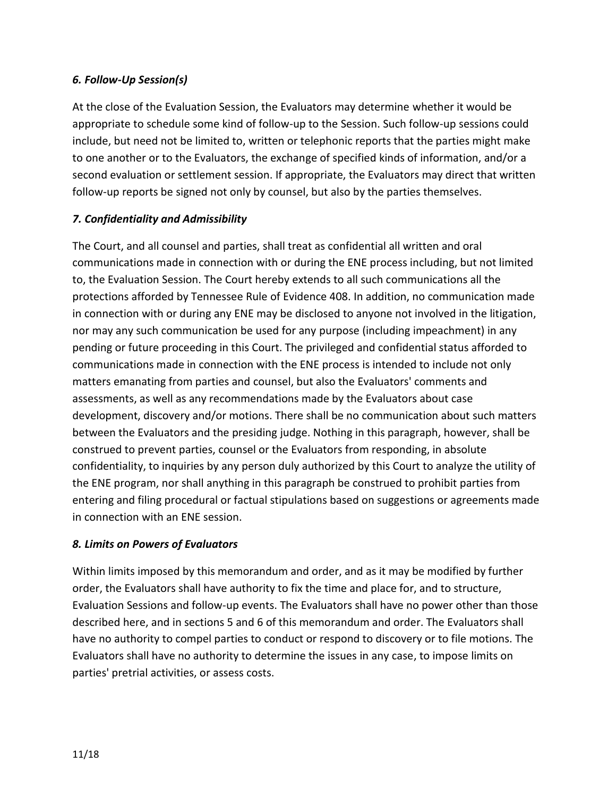### *6. Follow-Up Session(s)*

At the close of the Evaluation Session, the Evaluators may determine whether it would be appropriate to schedule some kind of follow-up to the Session. Such follow-up sessions could include, but need not be limited to, written or telephonic reports that the parties might make to one another or to the Evaluators, the exchange of specified kinds of information, and/or a second evaluation or settlement session. If appropriate, the Evaluators may direct that written follow-up reports be signed not only by counsel, but also by the parties themselves.

## *7. Confidentiality and Admissibility*

The Court, and all counsel and parties, shall treat as confidential all written and oral communications made in connection with or during the ENE process including, but not limited to, the Evaluation Session. The Court hereby extends to all such communications all the protections afforded by Tennessee Rule of Evidence 408. In addition, no communication made in connection with or during any ENE may be disclosed to anyone not involved in the litigation, nor may any such communication be used for any purpose (including impeachment) in any pending or future proceeding in this Court. The privileged and confidential status afforded to communications made in connection with the ENE process is intended to include not only matters emanating from parties and counsel, but also the Evaluators' comments and assessments, as well as any recommendations made by the Evaluators about case development, discovery and/or motions. There shall be no communication about such matters between the Evaluators and the presiding judge. Nothing in this paragraph, however, shall be construed to prevent parties, counsel or the Evaluators from responding, in absolute confidentiality, to inquiries by any person duly authorized by this Court to analyze the utility of the ENE program, nor shall anything in this paragraph be construed to prohibit parties from entering and filing procedural or factual stipulations based on suggestions or agreements made in connection with an ENE session.

### *8. Limits on Powers of Evaluators*

Within limits imposed by this memorandum and order, and as it may be modified by further order, the Evaluators shall have authority to fix the time and place for, and to structure, Evaluation Sessions and follow-up events. The Evaluators shall have no power other than those described here, and in sections 5 and 6 of this memorandum and order. The Evaluators shall have no authority to compel parties to conduct or respond to discovery or to file motions. The Evaluators shall have no authority to determine the issues in any case, to impose limits on parties' pretrial activities, or assess costs.